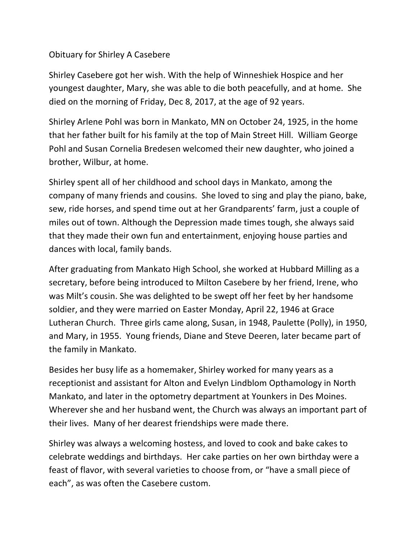## Obituary for Shirley A Casebere

Shirley Casebere got her wish. With the help of Winneshiek Hospice and her youngest daughter, Mary, she was able to die both peacefully, and at home. She died on the morning of Friday, Dec 8, 2017, at the age of 92 years.

Shirley Arlene Pohl was born in Mankato, MN on October 24, 1925, in the home that her father built for his family at the top of Main Street Hill. William George Pohl and Susan Cornelia Bredesen welcomed their new daughter, who joined a brother, Wilbur, at home.

Shirley spent all of her childhood and school days in Mankato, among the company of many friends and cousins. She loved to sing and play the piano, bake, sew, ride horses, and spend time out at her Grandparents' farm, just a couple of miles out of town. Although the Depression made times tough, she always said that they made their own fun and entertainment, enjoying house parties and dances with local, family bands.

After graduating from Mankato High School, she worked at Hubbard Milling as a secretary, before being introduced to Milton Casebere by her friend, Irene, who was Milt's cousin. She was delighted to be swept off her feet by her handsome soldier, and they were married on Easter Monday, April 22, 1946 at Grace Lutheran Church. Three girls came along, Susan, in 1948, Paulette (Polly), in 1950, and Mary, in 1955. Young friends, Diane and Steve Deeren, later became part of the family in Mankato.

Besides her busy life as a homemaker, Shirley worked for many years as a receptionist and assistant for Alton and Evelyn Lindblom Opthamology in North Mankato, and later in the optometry department at Younkers in Des Moines. Wherever she and her husband went, the Church was always an important part of their lives. Many of her dearest friendships were made there.

Shirley was always a welcoming hostess, and loved to cook and bake cakes to celebrate weddings and birthdays. Her cake parties on her own birthday were a feast of flavor, with several varieties to choose from, or "have a small piece of each", as was often the Casebere custom.